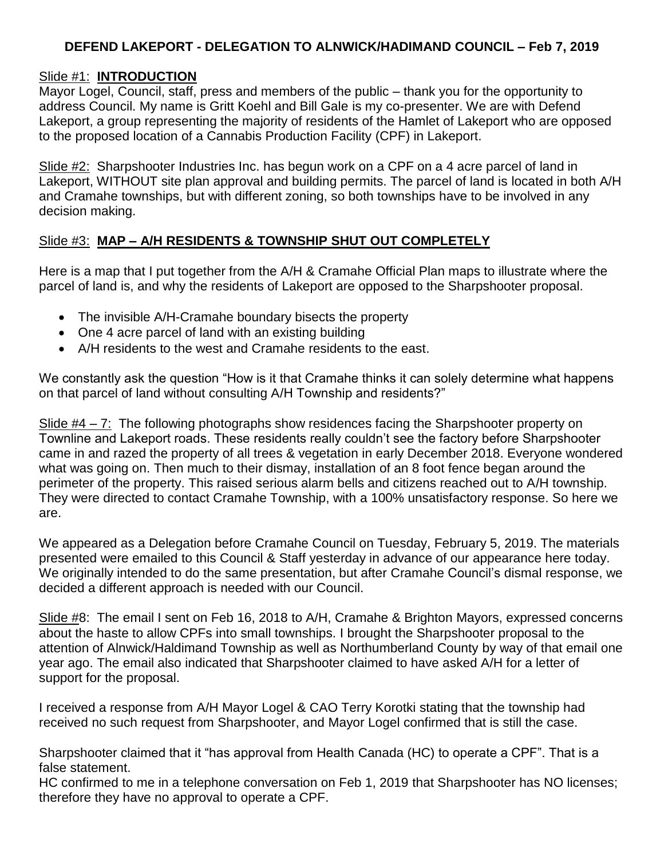# **DEFEND LAKEPORT - DELEGATION TO ALNWICK/HADIMAND COUNCIL – Feb 7, 2019**

### Slide #1: **INTRODUCTION**

Mayor Logel, Council, staff, press and members of the public – thank you for the opportunity to address Council. My name is Gritt Koehl and Bill Gale is my co-presenter. We are with Defend Lakeport, a group representing the majority of residents of the Hamlet of Lakeport who are opposed to the proposed location of a Cannabis Production Facility (CPF) in Lakeport.

Slide #2: Sharpshooter Industries Inc. has begun work on a CPF on a 4 acre parcel of land in Lakeport, WITHOUT site plan approval and building permits. The parcel of land is located in both A/H and Cramahe townships, but with different zoning, so both townships have to be involved in any decision making.

### Slide #3: **MAP – A/H RESIDENTS & TOWNSHIP SHUT OUT COMPLETELY**

Here is a map that I put together from the A/H & Cramahe Official Plan maps to illustrate where the parcel of land is, and why the residents of Lakeport are opposed to the Sharpshooter proposal.

- The invisible A/H-Cramahe boundary bisects the property
- One 4 acre parcel of land with an existing building
- A/H residents to the west and Cramahe residents to the east.

We constantly ask the question "How is it that Cramahe thinks it can solely determine what happens on that parcel of land without consulting A/H Township and residents?"

Slide #4 – 7: The following photographs show residences facing the Sharpshooter property on Townline and Lakeport roads. These residents really couldn't see the factory before Sharpshooter came in and razed the property of all trees & vegetation in early December 2018. Everyone wondered what was going on. Then much to their dismay, installation of an 8 foot fence began around the perimeter of the property. This raised serious alarm bells and citizens reached out to A/H township. They were directed to contact Cramahe Township, with a 100% unsatisfactory response. So here we are.

We appeared as a Delegation before Cramahe Council on Tuesday, February 5, 2019. The materials presented were emailed to this Council & Staff yesterday in advance of our appearance here today. We originally intended to do the same presentation, but after Cramahe Council's dismal response, we decided a different approach is needed with our Council.

Slide #8: The email I sent on Feb 16, 2018 to A/H, Cramahe & Brighton Mayors, expressed concerns about the haste to allow CPFs into small townships. I brought the Sharpshooter proposal to the attention of Alnwick/Haldimand Township as well as Northumberland County by way of that email one year ago. The email also indicated that Sharpshooter claimed to have asked A/H for a letter of support for the proposal.

I received a response from A/H Mayor Logel & CAO Terry Korotki stating that the township had received no such request from Sharpshooter, and Mayor Logel confirmed that is still the case.

Sharpshooter claimed that it "has approval from Health Canada (HC) to operate a CPF". That is a false statement.

HC confirmed to me in a telephone conversation on Feb 1, 2019 that Sharpshooter has NO licenses; therefore they have no approval to operate a CPF.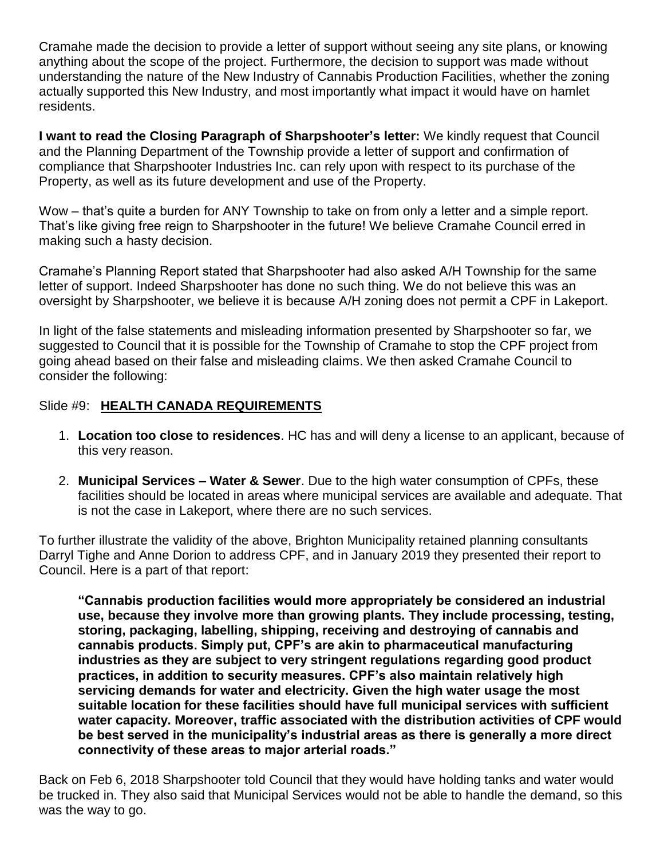Cramahe made the decision to provide a letter of support without seeing any site plans, or knowing anything about the scope of the project. Furthermore, the decision to support was made without understanding the nature of the New Industry of Cannabis Production Facilities, whether the zoning actually supported this New Industry, and most importantly what impact it would have on hamlet residents.

**I want to read the Closing Paragraph of Sharpshooter's letter:** We kindly request that Council and the Planning Department of the Township provide a letter of support and confirmation of compliance that Sharpshooter Industries Inc. can rely upon with respect to its purchase of the Property, as well as its future development and use of the Property.

Wow – that's quite a burden for ANY Township to take on from only a letter and a simple report. That's like giving free reign to Sharpshooter in the future! We believe Cramahe Council erred in making such a hasty decision.

Cramahe's Planning Report stated that Sharpshooter had also asked A/H Township for the same letter of support. Indeed Sharpshooter has done no such thing. We do not believe this was an oversight by Sharpshooter, we believe it is because A/H zoning does not permit a CPF in Lakeport.

In light of the false statements and misleading information presented by Sharpshooter so far, we suggested to Council that it is possible for the Township of Cramahe to stop the CPF project from going ahead based on their false and misleading claims. We then asked Cramahe Council to consider the following:

#### Slide #9: **HEALTH CANADA REQUIREMENTS**

- 1. **Location too close to residences**. HC has and will deny a license to an applicant, because of this very reason.
- 2. **Municipal Services – Water & Sewer**. Due to the high water consumption of CPFs, these facilities should be located in areas where municipal services are available and adequate. That is not the case in Lakeport, where there are no such services.

To further illustrate the validity of the above, Brighton Municipality retained planning consultants Darryl Tighe and Anne Dorion to address CPF, and in January 2019 they presented their report to Council. Here is a part of that report:

**"Cannabis production facilities would more appropriately be considered an industrial use, because they involve more than growing plants. They include processing, testing, storing, packaging, labelling, shipping, receiving and destroying of cannabis and cannabis products. Simply put, CPF's are akin to pharmaceutical manufacturing industries as they are subject to very stringent regulations regarding good product practices, in addition to security measures. CPF's also maintain relatively high servicing demands for water and electricity. Given the high water usage the most suitable location for these facilities should have full municipal services with sufficient water capacity. Moreover, traffic associated with the distribution activities of CPF would be best served in the municipality's industrial areas as there is generally a more direct connectivity of these areas to major arterial roads."**

Back on Feb 6, 2018 Sharpshooter told Council that they would have holding tanks and water would be trucked in. They also said that Municipal Services would not be able to handle the demand, so this was the way to go.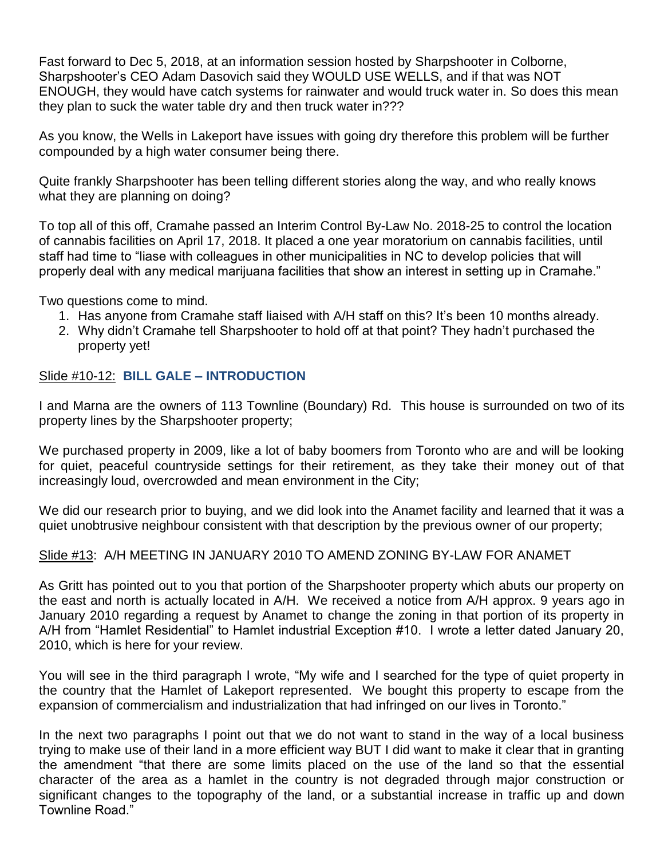Fast forward to Dec 5, 2018, at an information session hosted by Sharpshooter in Colborne, Sharpshooter's CEO Adam Dasovich said they WOULD USE WELLS, and if that was NOT ENOUGH, they would have catch systems for rainwater and would truck water in. So does this mean they plan to suck the water table dry and then truck water in???

As you know, the Wells in Lakeport have issues with going dry therefore this problem will be further compounded by a high water consumer being there.

Quite frankly Sharpshooter has been telling different stories along the way, and who really knows what they are planning on doing?

To top all of this off, Cramahe passed an Interim Control By-Law No. 2018-25 to control the location of cannabis facilities on April 17, 2018. It placed a one year moratorium on cannabis facilities, until staff had time to "liase with colleagues in other municipalities in NC to develop policies that will properly deal with any medical marijuana facilities that show an interest in setting up in Cramahe."

Two questions come to mind.

- 1. Has anyone from Cramahe staff liaised with A/H staff on this? It's been 10 months already.
- 2. Why didn't Cramahe tell Sharpshooter to hold off at that point? They hadn't purchased the property yet!

### Slide #10-12: **BILL GALE – INTRODUCTION**

I and Marna are the owners of 113 Townline (Boundary) Rd. This house is surrounded on two of its property lines by the Sharpshooter property;

We purchased property in 2009, like a lot of baby boomers from Toronto who are and will be looking for quiet, peaceful countryside settings for their retirement, as they take their money out of that increasingly loud, overcrowded and mean environment in the City;

We did our research prior to buying, and we did look into the Anamet facility and learned that it was a quiet unobtrusive neighbour consistent with that description by the previous owner of our property;

### Slide #13: A/H MEETING IN JANUARY 2010 TO AMEND ZONING BY-LAW FOR ANAMET

As Gritt has pointed out to you that portion of the Sharpshooter property which abuts our property on the east and north is actually located in A/H. We received a notice from A/H approx. 9 years ago in January 2010 regarding a request by Anamet to change the zoning in that portion of its property in A/H from "Hamlet Residential" to Hamlet industrial Exception #10. I wrote a letter dated January 20, 2010, which is here for your review.

You will see in the third paragraph I wrote, "My wife and I searched for the type of quiet property in the country that the Hamlet of Lakeport represented. We bought this property to escape from the expansion of commercialism and industrialization that had infringed on our lives in Toronto."

In the next two paragraphs I point out that we do not want to stand in the way of a local business trying to make use of their land in a more efficient way BUT I did want to make it clear that in granting the amendment "that there are some limits placed on the use of the land so that the essential character of the area as a hamlet in the country is not degraded through major construction or significant changes to the topography of the land, or a substantial increase in traffic up and down Townline Road."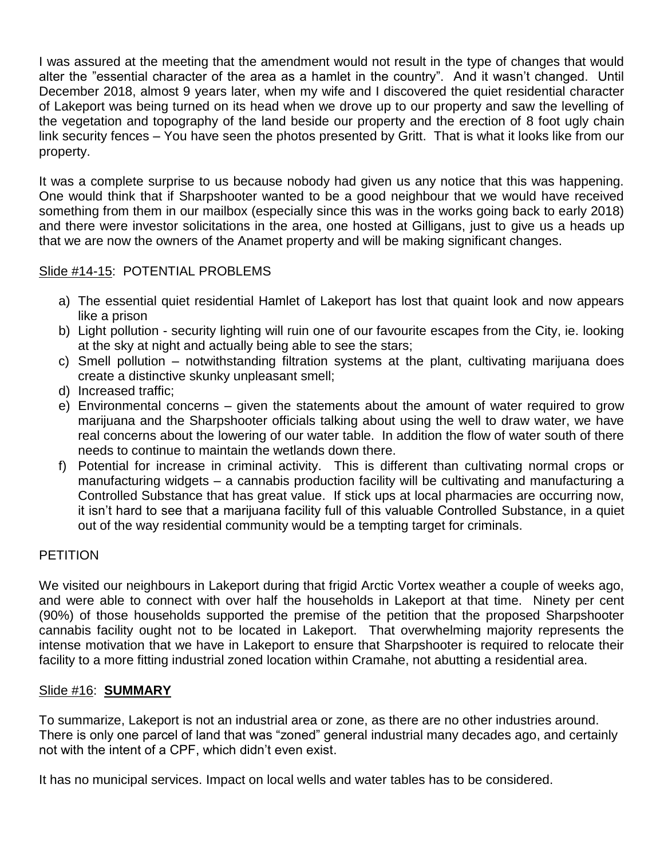I was assured at the meeting that the amendment would not result in the type of changes that would alter the "essential character of the area as a hamlet in the country". And it wasn't changed. Until December 2018, almost 9 years later, when my wife and I discovered the quiet residential character of Lakeport was being turned on its head when we drove up to our property and saw the levelling of the vegetation and topography of the land beside our property and the erection of 8 foot ugly chain link security fences – You have seen the photos presented by Gritt. That is what it looks like from our property.

It was a complete surprise to us because nobody had given us any notice that this was happening. One would think that if Sharpshooter wanted to be a good neighbour that we would have received something from them in our mailbox (especially since this was in the works going back to early 2018) and there were investor solicitations in the area, one hosted at Gilligans, just to give us a heads up that we are now the owners of the Anamet property and will be making significant changes.

# Slide #14-15: POTENTIAL PROBLEMS

- a) The essential quiet residential Hamlet of Lakeport has lost that quaint look and now appears like a prison
- b) Light pollution security lighting will ruin one of our favourite escapes from the City, ie. looking at the sky at night and actually being able to see the stars;
- c) Smell pollution notwithstanding filtration systems at the plant, cultivating marijuana does create a distinctive skunky unpleasant smell;
- d) Increased traffic;
- e) Environmental concerns given the statements about the amount of water required to grow marijuana and the Sharpshooter officials talking about using the well to draw water, we have real concerns about the lowering of our water table. In addition the flow of water south of there needs to continue to maintain the wetlands down there.
- f) Potential for increase in criminal activity. This is different than cultivating normal crops or manufacturing widgets – a cannabis production facility will be cultivating and manufacturing a Controlled Substance that has great value. If stick ups at local pharmacies are occurring now, it isn't hard to see that a marijuana facility full of this valuable Controlled Substance, in a quiet out of the way residential community would be a tempting target for criminals.

### **PETITION**

We visited our neighbours in Lakeport during that frigid Arctic Vortex weather a couple of weeks ago, and were able to connect with over half the households in Lakeport at that time. Ninety per cent (90%) of those households supported the premise of the petition that the proposed Sharpshooter cannabis facility ought not to be located in Lakeport. That overwhelming majority represents the intense motivation that we have in Lakeport to ensure that Sharpshooter is required to relocate their facility to a more fitting industrial zoned location within Cramahe, not abutting a residential area.

### Slide #16: **SUMMARY**

To summarize, Lakeport is not an industrial area or zone, as there are no other industries around. There is only one parcel of land that was "zoned" general industrial many decades ago, and certainly not with the intent of a CPF, which didn't even exist.

It has no municipal services. Impact on local wells and water tables has to be considered.